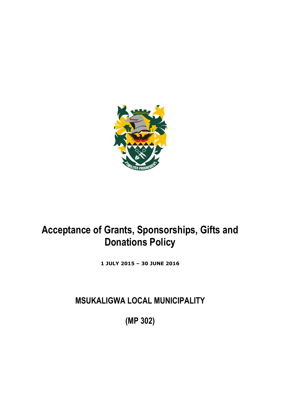

# **Acceptance of Grants, Sponsorships, Gifts and Donations Policy**

**1 JULY 2015 – 30 JUNE 2016**

**MSUKALIGWA LOCAL MUNICIPALITY**

**(MP 302)**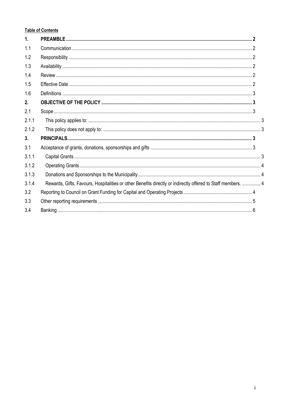# **Table of Contents**

| $\mathbf{1}$ . |                                                                                                              |  |
|----------------|--------------------------------------------------------------------------------------------------------------|--|
| 1.1            |                                                                                                              |  |
| 1.2            |                                                                                                              |  |
| 1.3            |                                                                                                              |  |
| 1.4            |                                                                                                              |  |
| 1.5            |                                                                                                              |  |
| 1.6            |                                                                                                              |  |
| 2.             |                                                                                                              |  |
| 2.1            |                                                                                                              |  |
| 2.1.1          |                                                                                                              |  |
| 2.1.2          |                                                                                                              |  |
| 3 <sub>1</sub> |                                                                                                              |  |
| 3.1            |                                                                                                              |  |
| 3.1.1          |                                                                                                              |  |
| 3.1.2          |                                                                                                              |  |
| 3.1.3          |                                                                                                              |  |
| 3.1.4          | Rewards, Gifts, Favours, Hospitalities or other Benefits directly or indirectly offered to Staff members.  4 |  |
| 3.2            |                                                                                                              |  |
| 3.3            |                                                                                                              |  |
| 3.4            |                                                                                                              |  |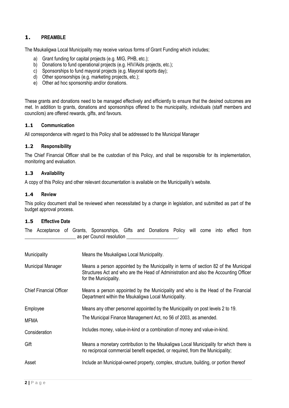# <span id="page-2-0"></span>**1. PREAMBLE**

The Msukaligwa Local Municipality may receive various forms of Grant Funding which includes;

- a) Grant funding for capital projects (e.g. MIG, PHB, etc.);
- b) Donations to fund operational projects (e.g. HIV/Aids projects, etc.);
- c) Sponsorships to fund mayoral projects (e.g. Mayoral sports day);
- d) Other sponsorships (e.g. marketing projects, etc.);
- e) Other ad hoc sponsorship and/or donations.

These grants and donations need to be managed effectively and efficiently to ensure that the desired outcomes are met. In addition to grants, donations and sponsorships offered to the municipality, individuals (staff members and councilors) are offered rewards, gifts, and favours.

#### <span id="page-2-1"></span>**1.1 Communication**

All correspondence with regard to this Policy shall be addressed to the Municipal Manager

#### <span id="page-2-2"></span>**1.2 Responsibility**

The Chief Financial Officer shall be the custodian of this Policy, and shall be responsible for its implementation, monitoring and evaluation.

#### <span id="page-2-3"></span>**1.3 Availability**

<span id="page-2-4"></span>A copy of this Policy and other relevant documentation is available on the Municipality's website.

#### **1.4 Review**

This policy document shall be reviewed when necessitated by a change in legislation, and submitted as part of the budget approval process.

#### <span id="page-2-5"></span>**1.5 Effective Date**

The Acceptance of Grants, Sponsorships, Gifts and Donations Policy will come into effect from as per Council resolution

| Municipality                   | Means the Msukaligwa Local Municipality.                                                                                                                                                               |
|--------------------------------|--------------------------------------------------------------------------------------------------------------------------------------------------------------------------------------------------------|
| Municipal Manager              | Means a person appointed by the Municipality in terms of section 82 of the Municipal<br>Structures Act and who are the Head of Administration and also the Accounting Officer<br>for the Municipality. |
| <b>Chief Financial Officer</b> | Means a person appointed by the Municipality and who is the Head of the Financial<br>Department within the Msukaligwa Local Municipality.                                                              |
| Employee                       | Means any other personnel appointed by the Municipality on post levels 2 to 19.                                                                                                                        |
| <b>MFMA</b>                    | The Municipal Finance Management Act, no 56 of 2003, as amended.                                                                                                                                       |
| Consideration                  | Includes money, value-in-kind or a combination of money and value-in-kind.                                                                                                                             |
| Gift                           | Means a monetary contribution to the Msukaligwa Local Municipality for which there is<br>no reciprocal commercial benefit expected, or required, from the Municipality;                                |
| Asset                          | Include an Municipal-owned property, complex, structure, building, or portion thereof                                                                                                                  |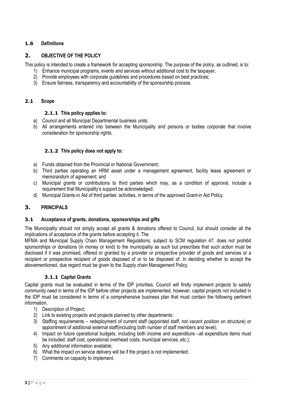# <span id="page-3-0"></span>**1.6 Definitions**

#### <span id="page-3-1"></span>**2. OBJECTIVE OF THE POLICY**

This policy is intended to create a framework for accepting sponsorship. The purpose of the policy, as outlined, is to:

- 1) Enhance municipal programs, events and services without additional cost to the taxpayer;
- 2) Provide employees with corporate guidelines and procedures based on best practices;
- 3) Ensure fairness, transparency and accountability of the sponsorship process.

#### <span id="page-3-3"></span><span id="page-3-2"></span>**2.1 Scope**

#### **2.1.1 This policy applies to:**

- a) Council and all Municipal Departmental business units;
- <span id="page-3-4"></span>b) All arrangements entered into between the Municipality and persons or bodies corporate that involve consideration for sponsorship rights.

#### **2.1.2 This policy does not apply to:**

- a) Funds obtained from the Provincial or National Government;
- b) Third parties operating an HRM asset under a management agreement, facility lease agreement or memorandum of agreement; and
- c) Municipal grants or contributions to third parties which may, as a condition of approval, include a requirement that Municipality's support be acknowledged;
- d) Municipal Grants-in Aid of third parties' activities, in terms of the approved Grant-in Aid Policy.

#### <span id="page-3-5"></span>**3. PRINCIPALS**

#### <span id="page-3-6"></span>**3.1 Acceptance of grants, donations, sponsorships and gifts**

The Municipality should not simply accept all grants & donations offered to Council, but should consider all the implications of acceptance of the grants before accepting it. The

MFMA and Municipal Supply Chain Management Regulations, subject to SCM regulation 47, does not prohibit sponsorships or donations (in money or kind) to the municipality as such but prescribes that such action must be disclosed if it was promised, offered or granted by a provider or prospective provider of goods and services or a recipient or prospective recipient of goods disposed of or to be disposed of. In deciding whether to accept the abovementioned, due regard must be given to the Supply chain Management Policy.

#### **3.1.1 Capital Grants**

<span id="page-3-7"></span>Capital grants must be evaluated in terms of the IDP priorities. Council will firstly implement projects to satisfy community need in terms of the IDP before other projects are implemented, however, capital projects not included in the IDP must be considered in terms of a comprehensive business plan that must contain the following pertinent information.

- 1) Description of Project;
- 2) Link to existing projects and projects planned by other departments:
- 3) Staffing requirements redeployment of current staff (appointed staff, not vacant position on structure) or appointment of additional external staff(including both number of staff members and level);
- 4) Impact on future operational budgets, including both income and expenditure –all expenditure items must be included, staff cost, operational overhead costs, municipal services, etc.);
- 5) Any additional information available;
- 6) What the impact on service delivery will be if the project is not implemented;
- 7) Comments on capacity to implement.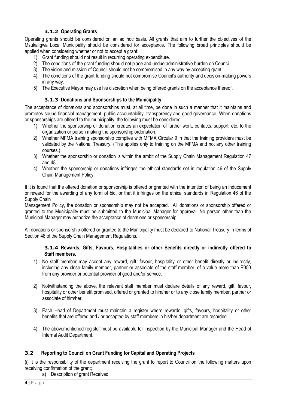## **3.1.2 Operating Grants**

<span id="page-4-0"></span>Operating grants should be considered on an ad hoc basis. All grants that aim to further the objectives of the Msukaligwa Local Municipality should be considered for acceptance. The following broad principles should be applied when considering whether or not to accept a grant:

- 1) Grant funding should not result in recurring operating expenditure.
- 2) The conditions of the grant funding should not place and undue administrative burden on Council.
- 3) The vision and mission of Council should not be compromised in any way by accepting grant.
- 4) The conditions of the grant funding should not compromise Council's authority and decision-making powers in any way.
- <span id="page-4-1"></span>5) The Executive Mayor may use his discretion when being offered grants on the acceptance thereof.

#### **3.1.3 Donations and Sponsorships to the Municipality**

The acceptance of donations and sponsorships must, at all time, be done in such a manner that it maintains and promotes sound financial management, public accountability, transparency and good governance. When donations or sponsorships are offered to the municipality, the following must be considered:

- 1) Whether the sponsorship or donation creates an expectation of further work, contacts, support, etc. to the organization or person making the sponsorship ordonation.
- 2) Whether MFMA training sponsorship complies with MFMA Circular 9 in that the training providers must be validated by the National Treasury. (This applies only to training on the MFMA and not any other training courses.).
- 3) Whether the sponsorship or donation is within the ambit of the Supply Chain Management Regulation 47 and 48.
- 4) Whether the sponsorship or donations infringes the ethical standards set in regulation 46 of the Supply Chain Management Policy.

If it is found that the offered donation or sponsorship is offered or granted with the intention of being an inducement or reward for the awarding of any form of bid, or that it infringes on the ethical standards in Regulation 46 of the Supply Chain

Management Policy, the donation or sponsorship may not be accepted. All donations or sponsorship offered or granted to the Municipality must be submitted to the Municipal Manager for approval. No person other than the Municipal Manager may authorize the acceptance of donations or sponsorship.

<span id="page-4-2"></span>All donations or sponsorship offered or granted to the Municipality must be declared to National Treasury in terms of Section 48 of the Supply Chain Management Regulations.

#### **3.1.4 Rewards, Gifts, Favours, Hospitalities or other Benefits directly or indirectly offered to Staff members.**

- 1) No staff member may accept any reward, gift, favour, hospitality or other benefit directly or indirectly, including any close family member, partner or associate of the staff member, of a value more than R350 from any provider or potential provider of good and/or service.
- 2) Notwithstanding the above, the relevant staff member must declare details of any reward, gift, favour, hospitality or other benefit promised, offered or granted to him/her or to any close family member, partner or associate of him/her.
- 3) Each Head of Department must maintain a register where rewards, gifts, favours, hospitality or other benefits that are offered and / or accepted by staff members in his/her department are recorded.
- 4) The abovementioned register must be available for inspection by the Municipal Manager and the Head of Internal Audit Department.

#### <span id="page-4-3"></span>**3.2 Reporting to Council on Grant Funding for Capital and Operating Projects**

(i) It is the responsibility of the department receiving the grant to report to Council on the following matters upon receiving confirmation of the grant;

a) Description of grant Received;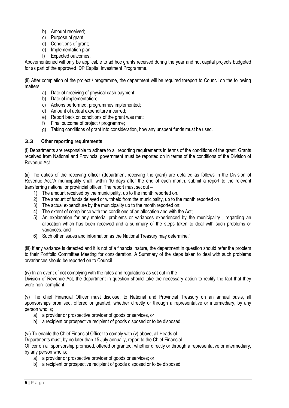- b) Amount received;
- c) Purpose of grant;
- d) Conditions of grant;
- e) Implementation plan;
- f) Expected outcomes.

Abovementioned will only be applicable to ad hoc grants received during the year and not capital projects budgeted for as part of the approved IDP Capital Investment Programme.

(ii) After completion of the project / programme, the department will be required toreport to Council on the following matters;

- a) Date of receiving of physical cash payment;
- b) Date of implementation;
- c) Actions performed, programmes implemented;
- d) Amount of actual expenditure incurred;
- e) Report back on conditions of the grant was met;
- f) Final outcome of project / programme;
- g) Taking conditions of grant into consideration, how any unspent funds must be used.

#### <span id="page-5-0"></span>**3.3 Other reporting requirements**

(i) Departments are responsible to adhere to all reporting requirements in terms of the conditions of the grant. Grants received from National and Provincial government must be reported on in terms of the conditions of the Division of Revenue Act.

(ii) The duties of the receiving officer (department receiving the grant) are detailed as follows in the Division of Revenue Act."A municipality shall, within 10 days after the end of each month, submit a report to the relevant transferring national or provincial officer. The report must set out –

- 1) The amount received by the municipality, up to the month reported on.
- 2) The amount of funds delayed or withheld from the municipality, up to the month reported on.
- 3) The actual expenditure by the municipality up to the month reported on;
- 4) The extent of compliance with the conditions of an allocation and with the Act;
- 5) An explanation for any material problems or variances experienced by the municipality , regarding an allocation which has been received and a summary of the steps taken to deal with such problems or variances, and
- 6) Such other issues and information as the National Treasury may determine."

(iii) If any variance is detected and it is not of a financial nature, the department in question should refer the problem to their Portfolio Committee Meeting for consideration. A Summary of the steps taken to deal with such problems orvariances should be reported on to Council.

(iv) In an event of not complying with the rules and regulations as set out in the

Division of Revenue Act, the department in question should take the necessary action to rectify the fact that they were non- compliant.

(v) The chief Financial Officer must disclose, to National and Provincial Treasury on an annual basis, all sponsorships promised, offered or granted, whether directly or through a representative or intermediary, by any person who is;

- a) a provider or prospective provider of goods or services, or
- b) a recipient or prospective recipient of goods disposed or to be disposed.

(vi) To enable the Chief Financial Officer to comply with (v) above, all Heads of Departments must, by no later than 15 July annually, report to the Chief Financial Officer on all sponsorship promised, offered or granted, whether directly or through a representative or intermediary, by any person who is;

- a) a provider or prospective provider of goods or services; or
- b) a recipient or prospective recipient of goods disposed or to be disposed